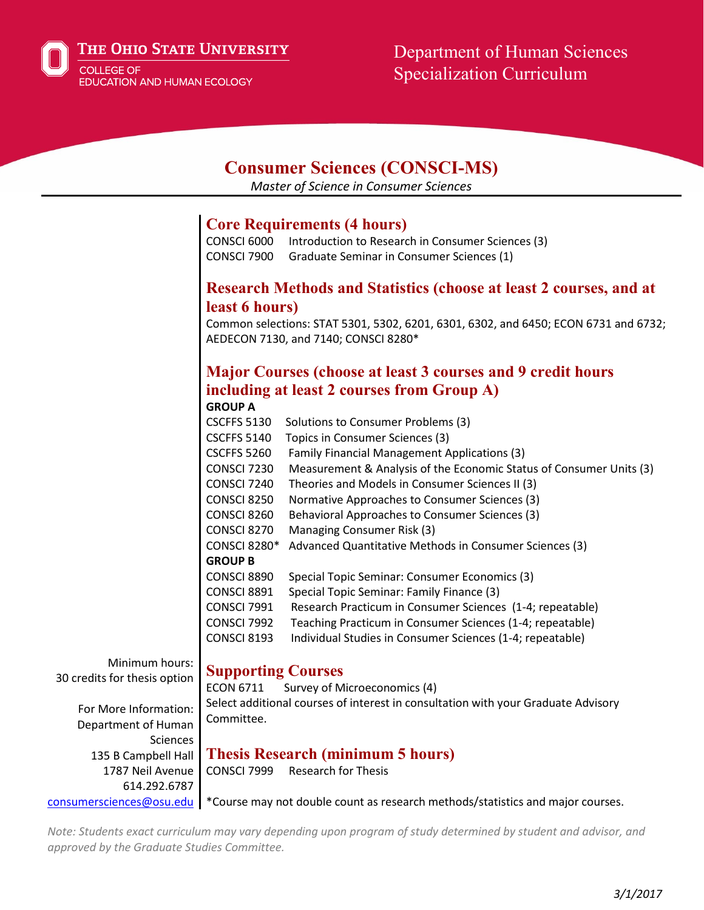The Ohio State University

**COLLEGE OF EDUCATION AND HUMAN ECOLOGY** 

# Department of Human Sciences Specialization Curriculum

## **Consumer Sciences (CONSCI-MS)**

*Master of Science in Consumer Sciences*

### **Core Requirements (4 hours)**

CONSCI 6000 Introduction to Research in Consumer Sciences (3) CONSCI 7900 Graduate Seminar in Consumer Sciences (1)

#### **Research Methods and Statistics (choose at least 2 courses, and at least 6 hours)**

Common selections: STAT 5301, 5302, 6201, 6301, 6302, and 6450; ECON 6731 and 6732; AEDECON 7130, and 7140; CONSCI 8280\*

## **Major Courses (choose at least 3 courses and 9 credit hours including at least 2 courses from Group A)**

**GROUP A**

| CSCFFS 5130         | Solutions to Consumer Problems (3)                                  |
|---------------------|---------------------------------------------------------------------|
| <b>CSCFFS 5140</b>  | Topics in Consumer Sciences (3)                                     |
| <b>CSCFFS 5260</b>  | <b>Family Financial Management Applications (3)</b>                 |
| <b>CONSCI 7230</b>  | Measurement & Analysis of the Economic Status of Consumer Units (3) |
| CONSCI 7240         | Theories and Models in Consumer Sciences II (3)                     |
| CONSCI 8250         | Normative Approaches to Consumer Sciences (3)                       |
| CONSCI 8260         | Behavioral Approaches to Consumer Sciences (3)                      |
| CONSCI 8270         | Managing Consumer Risk (3)                                          |
| <b>CONSCI 8280*</b> | Advanced Quantitative Methods in Consumer Sciences (3)              |
| <b>GROUP B</b>      |                                                                     |
| CONSCI 8890         | Special Topic Seminar: Consumer Economics (3)                       |
| CONSCI 8891         | Special Topic Seminar: Family Finance (3)                           |
| <b>CONSCI 7991</b>  | Research Practicum in Consumer Sciences (1-4; repeatable)           |
| <b>CONSCI 7992</b>  | Teaching Practicum in Consumer Sciences (1-4; repeatable)           |
| CONSCI 8193         | Individual Studies in Consumer Sciences (1-4; repeatable)           |
|                     |                                                                     |

Minimum hours: 30 credits for thesis option

#### **Supporting Courses**

ECON 6711 Survey of Microeconomics (4)

For More Information: Department of Human Sciences 135 B Campbell Hall 1787 Neil Avenue 614.292.6787 [consumersciences@osu.edu](mailto:consumersciences@osu.edu)

## Select additional courses of interest in consultation with your Graduate Advisory Committee.

**Thesis Research (minimum 5 hours)**

CONSCI 7999 Research for Thesis

\*Course may not double count as research methods/statistics and major courses.

*Note: Students exact curriculum may vary depending upon program of study determined by student and advisor, and approved by the Graduate Studies Committee.*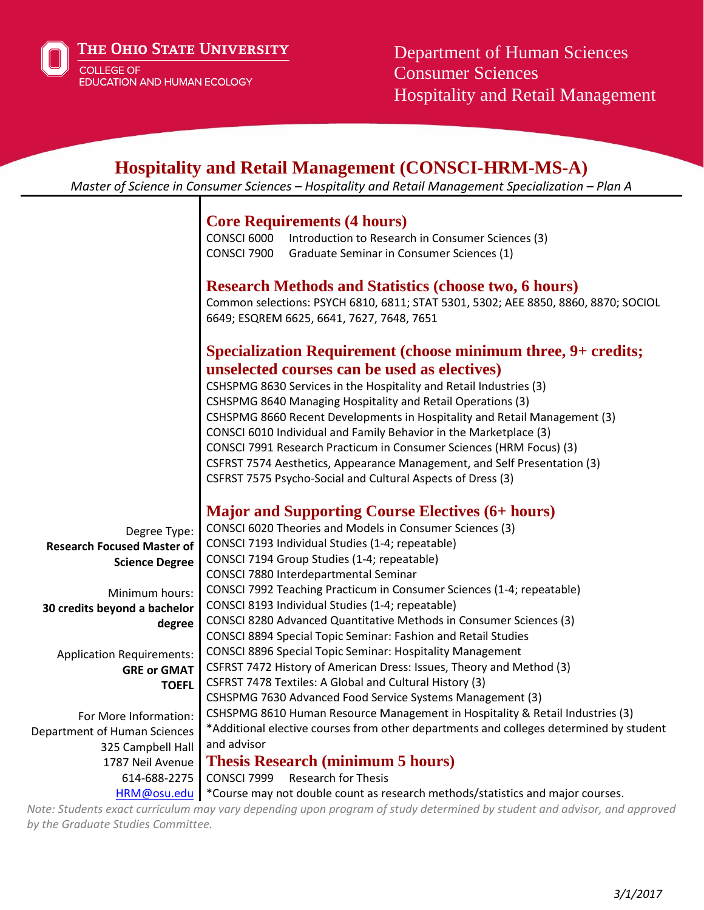The Ohio State University

COLLEGE OF **EDUCATION AND HUMAN ECOLOGY**  Department of Human Sciences Consumer Sciences Hospitality and Retail Management

#### **Hospitality and Retail Management (CONSCI-HRM-MS-A)** *Master of Science in Consumer Sciences – Hospitality and Retail Management Specialization – Plan A* Degree Type: **Research Focused Master of Science Degree** Minimum hours: **30 credits beyond a bachelor degree** Application Requirements: **GRE or GMAT TOEFL** For More Information: Department of Human Sciences 325 Campbell Hall 1787 Neil Avenue 614-688-2275 **Core Requirements (4 hours)** CONSCI 6000 Introduction to Research in Consumer Sciences (3) CONSCI 7900 Graduate Seminar in Consumer Sciences (1) **Research Methods and Statistics (choose two, 6 hours)** Common selections: PSYCH 6810, 6811; STAT 5301, 5302; AEE 8850, 8860, 8870; SOCIOL 6649; ESQREM 6625, 6641, 7627, 7648, 7651 **Specialization Requirement (choose minimum three, 9+ credits; unselected courses can be used as electives)**  CSHSPMG 8630 Services in the Hospitality and Retail Industries (3) CSHSPMG 8640 Managing Hospitality and Retail Operations (3) CSHSPMG 8660 Recent Developments in Hospitality and Retail Management (3) CONSCI 6010 Individual and Family Behavior in the Marketplace (3) CONSCI 7991 Research Practicum in Consumer Sciences (HRM Focus) (3) CSFRST 7574 Aesthetics, Appearance Management, and Self Presentation (3) CSFRST 7575 Psycho-Social and Cultural Aspects of Dress (3) **Major and Supporting Course Electives (6+ hours)** CONSCI 6020 Theories and Models in Consumer Sciences (3) CONSCI 7193 Individual Studies (1-4; repeatable) CONSCI 7194 Group Studies (1-4; repeatable) CONSCI 7880 Interdepartmental Seminar CONSCI 7992 Teaching Practicum in Consumer Sciences (1-4; repeatable) CONSCI 8193 Individual Studies (1-4; repeatable) CONSCI 8280 Advanced Quantitative Methods in Consumer Sciences (3) CONSCI 8894 Special Topic Seminar: Fashion and Retail Studies CONSCI 8896 Special Topic Seminar: Hospitality Management CSFRST 7472 History of American Dress: Issues, Theory and Method (3) CSFRST 7478 Textiles: A Global and Cultural History (3) CSHSPMG 7630 Advanced Food Service Systems Management (3) CSHSPMG 8610 Human Resource Management in Hospitality & Retail Industries (3) \*Additional elective courses from other departments and colleges determined by student and advisor **Thesis Research (minimum 5 hours)**

CONSCI 7999 Research for Thesis

[HRM@osu.edu](mailto:HRM@osu.edu) | \*Course may not double count as research methods/statistics and major courses.

*Note: Students exact curriculum may vary depending upon program of study determined by student and advisor, and approved by the Graduate Studies Committee.*